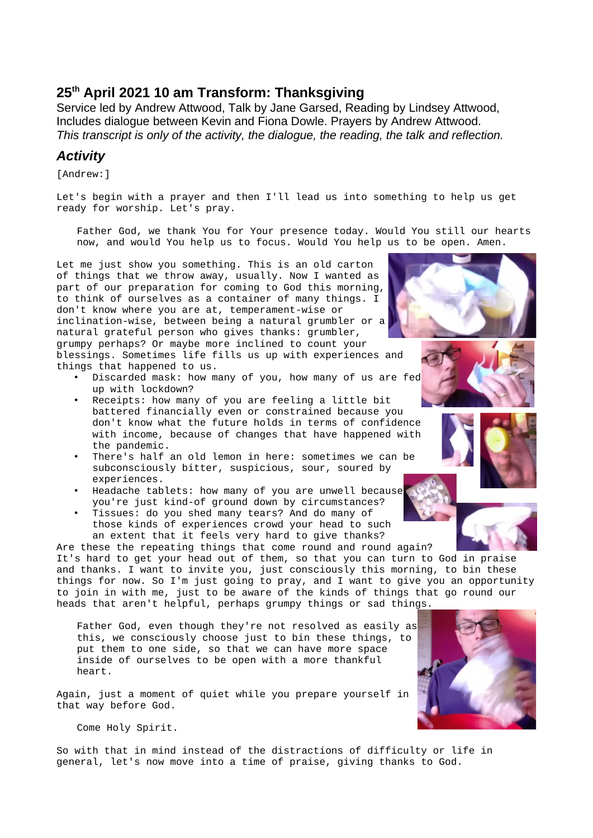# **25th April 2021 10 am Transform: Thanksgiving**

Service led by Andrew Attwood, Talk by Jane Garsed, Reading by Lindsey Attwood, Includes dialogue between Kevin and Fiona Dowle. Prayers by Andrew Attwood. *This transcript is only of the activity, the dialogue, the reading, the talk and reflection.*

## *Activity*

[Andrew:]

Let's begin with a prayer and then I'll lead us into something to help us get ready for worship. Let's pray.

Father God, we thank You for Your presence today. Would You still our hearts now, and would You help us to focus. Would You help us to be open. Amen.

Let me just show you something. This is an old carton of things that we throw away, usually. Now I wanted as part of our preparation for coming to God this morning, to think of ourselves as a container of many things. I don't know where you are at, temperament-wise or inclination-wise, between being a natural grumbler or a natural grateful person who gives thanks: grumbler, grumpy perhaps? Or maybe more inclined to count your blessings. Sometimes life fills us up with experiences and things that happened to us.

- Discarded mask: how many of you, how many of us are fed up with lockdown?
- Receipts: how many of you are feeling a little bit battered financially even or constrained because you don't know what the future holds in terms of confidence with income, because of changes that have happened with the pandemic.
- There's half an old lemon in here: sometimes we can be subconsciously bitter, suspicious, sour, soured by experiences.
- Headache tablets: how many of you are unwell because you're just kind-of ground down by circumstances?
- Tissues: do you shed many tears? And do many of those kinds of experiences crowd your head to such an extent that it feels very hard to give thanks?

Are these the repeating things that come round and round again? It's hard to get your head out of them, so that you can turn to God in praise and thanks. I want to invite you, just consciously this morning, to bin these things for now. So I'm just going to pray, and I want to give you an opportunity to join in with me, just to be aware of the kinds of things that go round our heads that aren't helpful, perhaps grumpy things or sad things.

Father God, even though they're not resolved as easily as this, we consciously choose just to bin these things, to put them to one side, so that we can have more space inside of ourselves to be open with a more thankful heart.

Again, just a moment of quiet while you prepare yourself in that way before God.

Come Holy Spirit.

So with that in mind instead of the distractions of difficulty or life in general, let's now move into a time of praise, giving thanks to God.





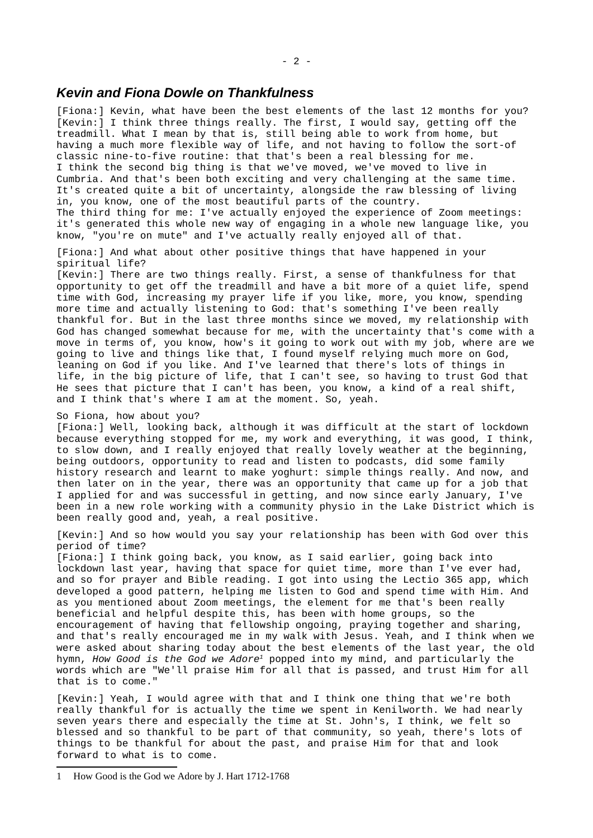#### *Kevin and Fiona Dowle on Thankfulness*

[Fiona:] Kevin, what have been the best elements of the last 12 months for you? [Kevin:] I think three things really. The first, I would say, getting off the treadmill. What I mean by that is, still being able to work from home, but having a much more flexible way of life, and not having to follow the sort-of classic nine-to-five routine: that that's been a real blessing for me. I think the second big thing is that we've moved, we've moved to live in Cumbria. And that's been both exciting and very challenging at the same time. It's created quite a bit of uncertainty, alongside the raw blessing of living in, you know, one of the most beautiful parts of the country. The third thing for me: I've actually enjoyed the experience of Zoom meetings: it's generated this whole new way of engaging in a whole new language like, you know, "you're on mute" and I've actually really enjoyed all of that.

[Fiona:] And what about other positive things that have happened in your spiritual life?

[Kevin:] There are two things really. First, a sense of thankfulness for that opportunity to get off the treadmill and have a bit more of a quiet life, spend time with God, increasing my prayer life if you like, more, you know, spending more time and actually listening to God: that's something I've been really thankful for. But in the last three months since we moved, my relationship with God has changed somewhat because for me, with the uncertainty that's come with a move in terms of, you know, how's it going to work out with my job, where are we going to live and things like that, I found myself relying much more on God, leaning on God if you like. And I've learned that there's lots of things in life, in the big picture of life, that I can't see, so having to trust God that He sees that picture that I can't has been, you know, a kind of a real shift, and I think that's where I am at the moment. So, yeah.

So Fiona, how about you?

[Fiona:] Well, looking back, although it was difficult at the start of lockdown because everything stopped for me, my work and everything, it was good, I think, to slow down, and I really enjoyed that really lovely weather at the beginning, being outdoors, opportunity to read and listen to podcasts, did some family history research and learnt to make yoghurt: simple things really. And now, and then later on in the year, there was an opportunity that came up for a job that I applied for and was successful in getting, and now since early January, I've been in a new role working with a community physio in the Lake District which is been really good and, yeah, a real positive.

[Kevin:] And so how would you say your relationship has been with God over this period of time?

[Fiona:] I think going back, you know, as I said earlier, going back into lockdown last year, having that space for quiet time, more than I've ever had, and so for prayer and Bible reading. I got into using the Lectio 365 app, which developed a good pattern, helping me listen to God and spend time with Him. And as you mentioned about Zoom meetings, the element for me that's been really beneficial and helpful despite this, has been with home groups, so the encouragement of having that fellowship ongoing, praying together and sharing, and that's really encouraged me in my walk with Jesus. Yeah, and I think when we were asked about sharing today about the best elements of the last year, the old hymn, *How Good is the God we Adore[1](#page-1-0)* popped into my mind, and particularly the words which are "We'll praise Him for all that is passed, and trust Him for all that is to come."

[Kevin:] Yeah, I would agree with that and I think one thing that we're both really thankful for is actually the time we spent in Kenilworth. We had nearly seven years there and especially the time at St. John's, I think, we felt so blessed and so thankful to be part of that community, so yeah, there's lots of things to be thankful for about the past, and praise Him for that and look forward to what is to come.

<span id="page-1-0"></span><sup>1</sup> How Good is the God we Adore by J. Hart 1712-1768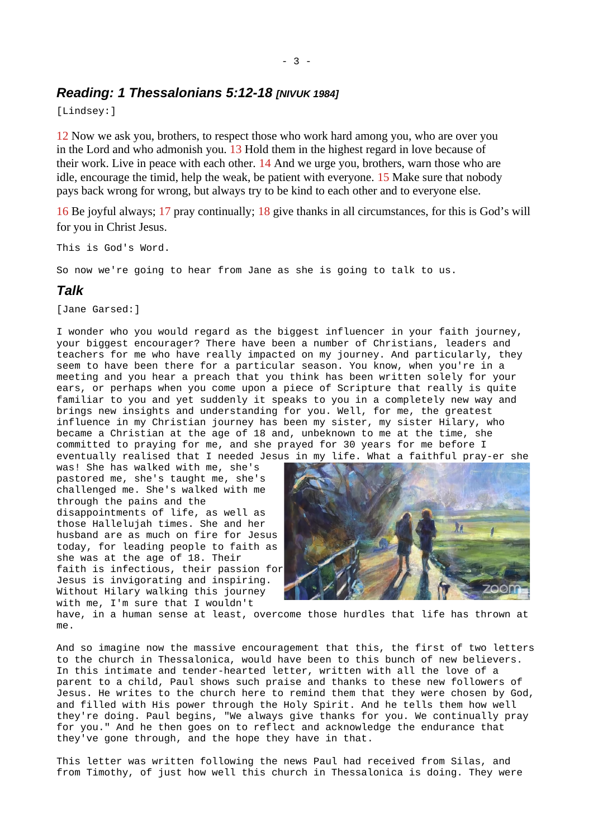#### - 3 -

## *Reading: 1 Thessalonians 5:12-18 [NIVUK 1984]*

[Lindsey:]

12 Now we ask you, brothers, to respect those who work hard among you, who are over you in the Lord and who admonish you. 13 Hold them in the highest regard in love because of their work. Live in peace with each other. 14 And we urge you, brothers, warn those who are idle, encourage the timid, help the weak, be patient with everyone. 15 Make sure that nobody pays back wrong for wrong, but always try to be kind to each other and to everyone else.

16 Be joyful always; 17 pray continually; 18 give thanks in all circumstances, for this is God's will for you in Christ Jesus.

This is God's Word.

So now we're going to hear from Jane as she is going to talk to us.

### *Talk*

[Jane Garsed:]

I wonder who you would regard as the biggest influencer in your faith journey, your biggest encourager? There have been a number of Christians, leaders and teachers for me who have really impacted on my journey. And particularly, they seem to have been there for a particular season. You know, when you're in a meeting and you hear a preach that you think has been written solely for your ears, or perhaps when you come upon a piece of Scripture that really is quite familiar to you and yet suddenly it speaks to you in a completely new way and brings new insights and understanding for you. Well, for me, the greatest influence in my Christian journey has been my sister, my sister Hilary, who became a Christian at the age of 18 and, unbeknown to me at the time, she committed to praying for me, and she prayed for 30 years for me before I eventually realised that I needed Jesus in my life. What a faithful pray-er she

was! She has walked with me, she's pastored me, she's taught me, she's challenged me. She's walked with me through the pains and the disappointments of life, as well as those Hallelujah times. She and her husband are as much on fire for Jesus today, for leading people to faith as she was at the age of 18. Their faith is infectious, their passion for Jesus is invigorating and inspiring. Without Hilary walking this journey with me, I'm sure that I wouldn't



have, in a human sense at least, overcome those hurdles that life has thrown at me.

And so imagine now the massive encouragement that this, the first of two letters to the church in Thessalonica, would have been to this bunch of new believers. In this intimate and tender-hearted letter, written with all the love of a parent to a child, Paul shows such praise and thanks to these new followers of Jesus. He writes to the church here to remind them that they were chosen by God, and filled with His power through the Holy Spirit. And he tells them how well they're doing. Paul begins, "We always give thanks for you. We continually pray for you." And he then goes on to reflect and acknowledge the endurance that they've gone through, and the hope they have in that.

This letter was written following the news Paul had received from Silas, and from Timothy, of just how well this church in Thessalonica is doing. They were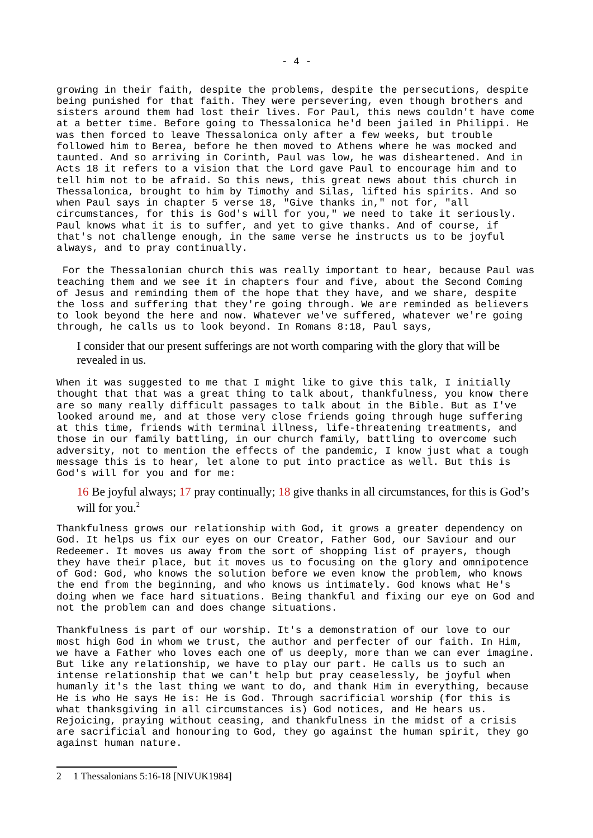growing in their faith, despite the problems, despite the persecutions, despite being punished for that faith. They were persevering, even though brothers and sisters around them had lost their lives. For Paul, this news couldn't have come at a better time. Before going to Thessalonica he'd been jailed in Philippi. He was then forced to leave Thessalonica only after a few weeks, but trouble followed him to Berea, before he then moved to Athens where he was mocked and taunted. And so arriving in Corinth, Paul was low, he was disheartened. And in Acts 18 it refers to a vision that the Lord gave Paul to encourage him and to tell him not to be afraid. So this news, this great news about this church in Thessalonica, brought to him by Timothy and Silas, lifted his spirits. And so when Paul says in chapter 5 verse 18, "Give thanks in," not for, "all circumstances, for this is God's will for you," we need to take it seriously. Paul knows what it is to suffer, and yet to give thanks. And of course, if that's not challenge enough, in the same verse he instructs us to be joyful always, and to pray continually.

 For the Thessalonian church this was really important to hear, because Paul was teaching them and we see it in chapters four and five, about the Second Coming of Jesus and reminding them of the hope that they have, and we share, despite the loss and suffering that they're going through. We are reminded as believers to look beyond the here and now. Whatever we've suffered, whatever we're going through, he calls us to look beyond. In Romans 8:18, Paul says,

I consider that our present sufferings are not worth comparing with the glory that will be revealed in us.

When it was suggested to me that I might like to give this talk, I initially thought that that was a great thing to talk about, thankfulness, you know there are so many really difficult passages to talk about in the Bible. But as I've looked around me, and at those very close friends going through huge suffering at this time, friends with terminal illness, life-threatening treatments, and those in our family battling, in our church family, battling to overcome such adversity, not to mention the effects of the pandemic, I know just what a tough message this is to hear, let alone to put into practice as well. But this is God's will for you and for me:

16 Be joyful always; 17 pray continually; 18 give thanks in all circumstances, for this is God's will for you.<sup>[2](#page-3-0)</sup>

Thankfulness grows our relationship with God, it grows a greater dependency on God. It helps us fix our eyes on our Creator, Father God, our Saviour and our Redeemer. It moves us away from the sort of shopping list of prayers, though they have their place, but it moves us to focusing on the glory and omnipotence of God: God, who knows the solution before we even know the problem, who knows the end from the beginning, and who knows us intimately. God knows what He's doing when we face hard situations. Being thankful and fixing our eye on God and not the problem can and does change situations.

Thankfulness is part of our worship. It's a demonstration of our love to our most high God in whom we trust, the author and perfecter of our faith. In Him, we have a Father who loves each one of us deeply, more than we can ever imagine. But like any relationship, we have to play our part. He calls us to such an intense relationship that we can't help but pray ceaselessly, be joyful when humanly it's the last thing we want to do, and thank Him in everything, because He is who He says He is: He is God. Through sacrificial worship (for this is what thanksgiving in all circumstances is) God notices, and He hears us. Rejoicing, praying without ceasing, and thankfulness in the midst of a crisis are sacrificial and honouring to God, they go against the human spirit, they go against human nature.

<span id="page-3-0"></span><sup>2</sup> 1 Thessalonians 5:16-18 [NIVUK1984]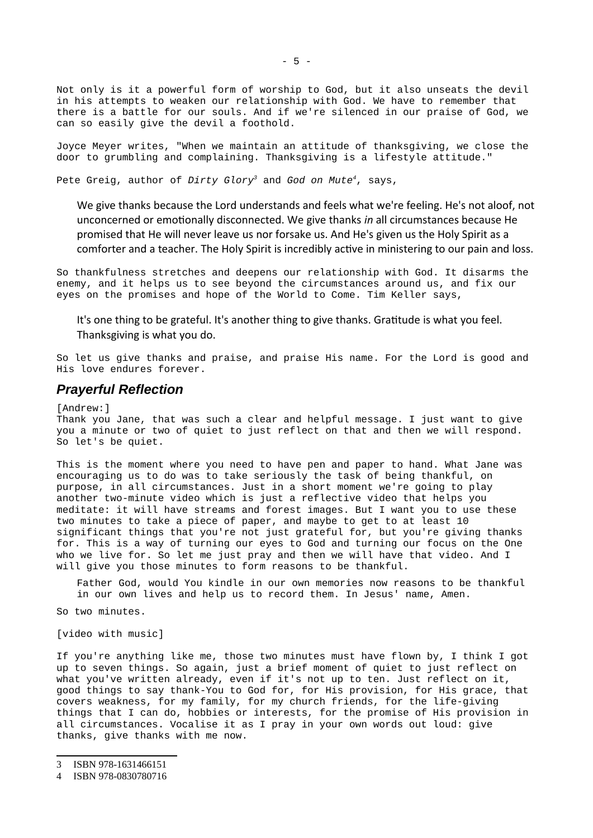Not only is it a powerful form of worship to God, but it also unseats the devil in his attempts to weaken our relationship with God. We have to remember that there is a battle for our souls. And if we're silenced in our praise of God, we can so easily give the devil a foothold.

Joyce Meyer writes, "When we maintain an attitude of thanksgiving, we close the door to grumbling and complaining. Thanksgiving is a lifestyle attitude."

Pete Greig, author of *Dirty Glory[3](#page-4-0)* and *God on Mute[4](#page-4-1)*, says,

We give thanks because the Lord understands and feels what we're feeling. He's not aloof, not unconcerned or emotionally disconnected. We give thanks *in* all circumstances because He promised that He will never leave us nor forsake us. And He's given us the Holy Spirit as a comforter and a teacher. The Holy Spirit is incredibly active in ministering to our pain and loss.

So thankfulness stretches and deepens our relationship with God. It disarms the enemy, and it helps us to see beyond the circumstances around us, and fix our eyes on the promises and hope of the World to Come. Tim Keller says,

It's one thing to be grateful. It's another thing to give thanks. Gratitude is what you feel. Thanksgiving is what you do.

So let us give thanks and praise, and praise His name. For the Lord is good and His love endures forever.

### *Prayerful Reflection*

[Andrew:]

Thank you Jane, that was such a clear and helpful message. I just want to give you a minute or two of quiet to just reflect on that and then we will respond. So let's be quiet.

This is the moment where you need to have pen and paper to hand. What Jane was encouraging us to do was to take seriously the task of being thankful, on purpose, in all circumstances. Just in a short moment we're going to play another two-minute video which is just a reflective video that helps you meditate: it will have streams and forest images. But I want you to use these two minutes to take a piece of paper, and maybe to get to at least 10 significant things that you're not just grateful for, but you're giving thanks for. This is a way of turning our eyes to God and turning our focus on the One who we live for. So let me just pray and then we will have that video. And I will give you those minutes to form reasons to be thankful.

Father God, would You kindle in our own memories now reasons to be thankful in our own lives and help us to record them. In Jesus' name, Amen.

So two minutes.

[video with music]

If you're anything like me, those two minutes must have flown by, I think I got up to seven things. So again, just a brief moment of quiet to just reflect on what you've written already, even if it's not up to ten. Just reflect on it, good things to say thank-You to God for, for His provision, for His grace, that covers weakness, for my family, for my church friends, for the life-giving things that I can do, hobbies or interests, for the promise of His provision in all circumstances. Vocalise it as I pray in your own words out loud: give thanks, give thanks with me now.

<span id="page-4-0"></span><sup>3</sup> ISBN 978-1631466151

<span id="page-4-1"></span><sup>4</sup> ISBN 978-0830780716